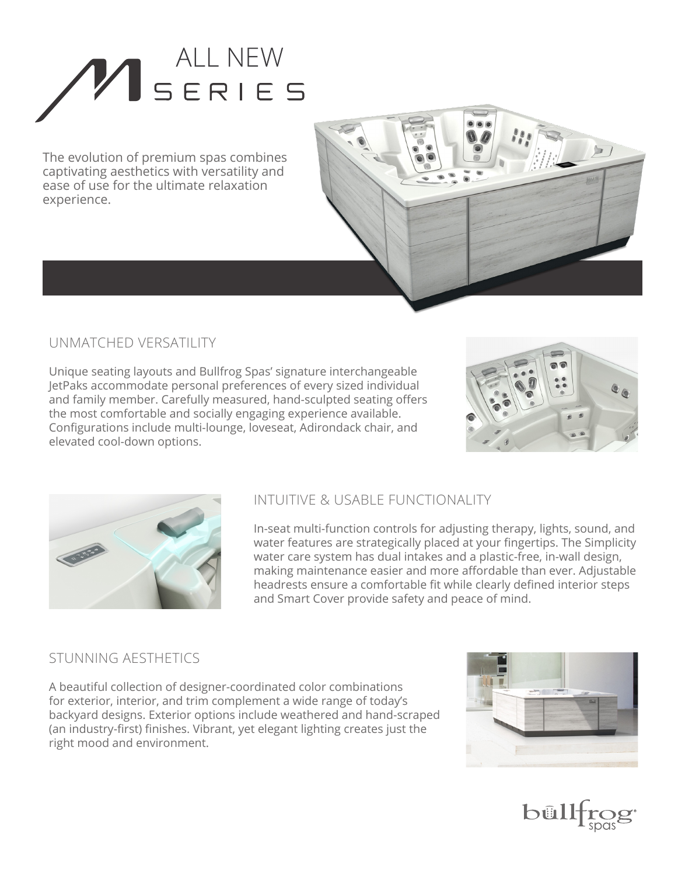# ALL NEW<br>SERIES

The evolution of premium spas combines captivating aesthetics with versatility and ease of use for the ultimate relaxation experience.



### UNMATCHED VERSATILITY

Unique seating layouts and Bullfrog Spas' signature interchangeable JetPaks accommodate personal preferences of every sized individual and family member. Carefully measured, hand-sculpted seating offers the most comfortable and socially engaging experience available. Configurations include multi-lounge, loveseat, Adirondack chair, and elevated cool-down options.





#### INTUITIVE & USABLE FUNCTIONALITY

In-seat multi-function controls for adjusting therapy, lights, sound, and water features are strategically placed at your fingertips. The Simplicity water care system has dual intakes and a plastic-free, in-wall design, making maintenance easier and more affordable than ever. Adjustable headrests ensure a comfortable fit while clearly defined interior steps and Smart Cover provide safety and peace of mind.

#### STUNNING AESTHETICS

A beautiful collection of designer-coordinated color combinations for exterior, interior, and trim complement a wide range of today's backyard designs. Exterior options include weathered and hand-scraped (an industry-first) finishes. Vibrant, yet elegant lighting creates just the right mood and environment.